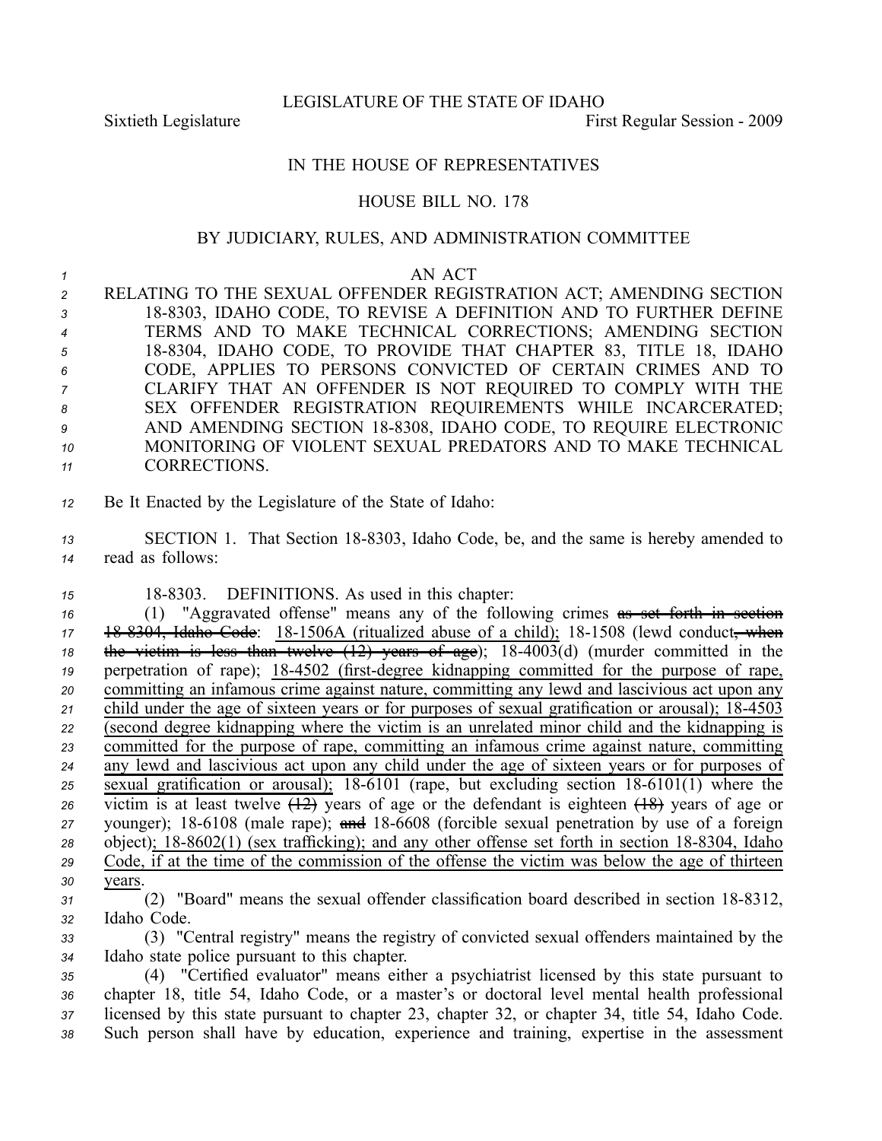LEGISLATURE OF THE STATE OF IDAHO

Sixtieth Legislature **First** Regular Session - 2009

## IN THE HOUSE OF REPRESENTATIVES

## HOUSE BILL NO. 178

## BY JUDICIARY, RULES, AND ADMINISTRATION COMMITTEE

## *1* AN ACT

 RELATING TO THE SEXUAL OFFENDER REGISTRATION ACT; AMENDING SECTION 188303, IDAHO CODE, TO REVISE A DEFINITION AND TO FURTHER DEFINE TERMS AND TO MAKE TECHNICAL CORRECTIONS; AMENDING SECTION 188304, IDAHO CODE, TO PROVIDE THAT CHAPTER 83, TITLE 18, IDAHO CODE, APPLIES TO PERSONS CONVICTED OF CERTAIN CRIMES AND TO CLARIFY THAT AN OFFENDER IS NOT REQUIRED TO COMPLY WITH THE SEX OFFENDER REGISTRATION REQUIREMENTS WHILE INCARCERATED; AND AMENDING SECTION 188308, IDAHO CODE, TO REQUIRE ELECTRONIC MONITORING OF VIOLENT SEXUAL PREDATORS AND TO MAKE TECHNICAL CORRECTIONS.

*<sup>12</sup>* Be It Enacted by the Legislature of the State of Idaho:

13 SECTION 1. That Section 18-8303, Idaho Code, be, and the same is hereby amended to *<sup>14</sup>* read as follows:

15 18-8303. DEFINITIONS. As used in this chapter:

 (1) "Aggravated offense" means any of the following crimes as set forth in section 17 18 8304, Idaho Code: 18-1506A (ritualized abuse of a child); 18-1508 (lewd conduct, when the victim is less than twelve  $(12)$  years of age);  $18-4003(d)$  (murder committed in the perpetration of rape); 18-4502 (first-degree kidnapping committed for the purpose of rape, committing an infamous crime against nature, committing any lewd and lascivious act upon any 21 child under the age of sixteen years or for purposes of sexual gratification or arousal); 18-4503 (second degree kidnapping where the victim is an unrelated minor child and the kidnapping is committed for the purpose of rape, committing an infamous crime against nature, committing any lewd and lascivious act upon any child under the age of sixteen years or for purposes of sexual gratification or arousal); 18-6101 (rape, but excluding section  $18-6101(1)$  where the victim is at least twelve  $\overline{(12)}$  years of age or the defendant is eighteen  $\overline{(18)}$  years of age or younger); 18-6108 (male rape); and 18-6608 (forcible sexual penetration by use of a foreign object); 18-8602(1) (sex trafficking); and any other offense set forth in section 18-8304, Idaho Code, if at the time of the commission of the offense the victim was below the age of thirteen *30* years.

- <sup>31</sup> (2) "Board" means the sexual offender classification board described in section 18-8312, *<sup>32</sup>* Idaho Code.
- *<sup>33</sup>* (3) "Central registry" means the registry of convicted sexual offenders maintained by the *<sup>34</sup>* Idaho state police pursuan<sup>t</sup> to this chapter.

 (4) "Certified evaluator" means either <sup>a</sup> psychiatrist licensed by this state pursuan<sup>t</sup> to chapter 18, title 54, Idaho Code, or <sup>a</sup> master's or doctoral level mental health professional licensed by this state pursuan<sup>t</sup> to chapter 23, chapter 32, or chapter 34, title 54, Idaho Code. Such person shall have by education, experience and training, expertise in the assessment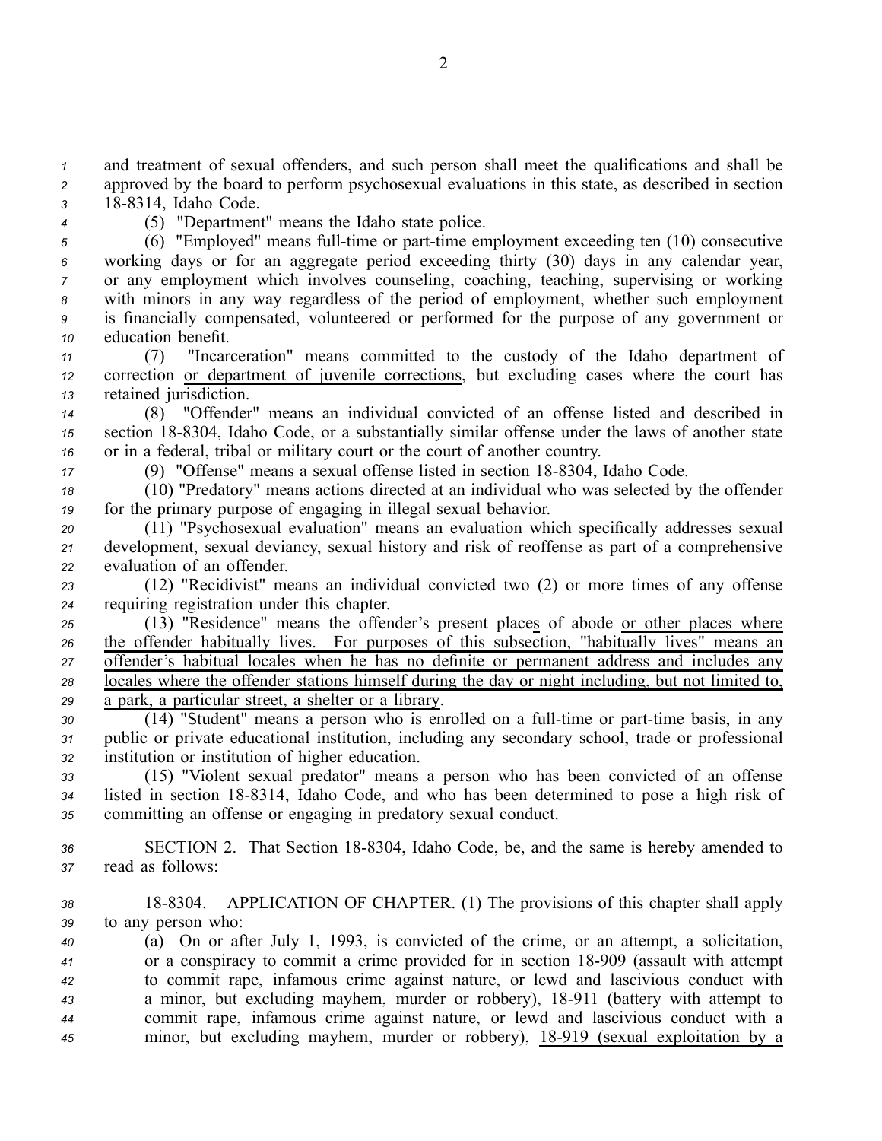*<sup>1</sup>* and treatment of sexual offenders, and such person shall meet the qualifications and shall be *<sup>2</sup>* approved by the board to perform psychosexual evaluations in this state, as described in section *<sup>3</sup>* 188314, Idaho Code.

- 
- *<sup>4</sup>* (5) "Department" means the Idaho state police.

<sup>5</sup> (6) "Employed" means full-time or part-time employment exceeding ten (10) consecutive working days or for an aggregate period exceeding thirty (30) days in any calendar year, or any employment which involves counseling, coaching, teaching, supervising or working with minors in any way regardless of the period of employment, whether such employment is financially compensated, volunteered or performed for the purpose of any governmen<sup>t</sup> or education benefit.

*<sup>11</sup>* (7) "Incarceration" means committed to the custody of the Idaho department of *<sup>12</sup>* correction or department of juvenile corrections, but excluding cases where the court has *<sup>13</sup>* retained jurisdiction.

*<sup>14</sup>* (8) "Offender" means an individual convicted of an offense listed and described in *<sup>15</sup>* section 188304, Idaho Code, or <sup>a</sup> substantially similar offense under the laws of another state *<sup>16</sup>* or in <sup>a</sup> federal, tribal or military court or the court of another country.

17 (9) "Offense" means a sexual offense listed in section 18-8304, Idaho Code.

*<sup>18</sup>* (10) "Predatory" means actions directed at an individual who was selected by the offender *<sup>19</sup>* for the primary purpose of engaging in illegal sexual behavior.

*<sup>20</sup>* (11) "Psychosexual evaluation" means an evaluation which specifically addresses sexual *<sup>21</sup>* development, sexual deviancy, sexual history and risk of reoffense as par<sup>t</sup> of <sup>a</sup> comprehensive *<sup>22</sup>* evaluation of an offender.

*<sup>23</sup>* (12) "Recidivist" means an individual convicted two (2) or more times of any offense *<sup>24</sup>* requiring registration under this chapter.

 (13) "Residence" means the offender's presen<sup>t</sup> places of abode or other places where the offender habitually lives. For purposes of this subsection, "habitually lives" means an offender's habitual locales when he has no definite or permanen<sup>t</sup> address and includes any locales where the offender stations himself during the day or night including, but not limited to, <sup>a</sup> park, <sup>a</sup> particular street, <sup>a</sup> shelter or <sup>a</sup> library.

30 (14) "Student" means a person who is enrolled on a full-time or part-time basis, in any *<sup>31</sup>* public or private educational institution, including any secondary school, trade or professional *<sup>32</sup>* institution or institution of higher education.

*<sup>33</sup>* (15) "Violent sexual predator" means <sup>a</sup> person who has been convicted of an offense 34 listed in section 18-8314, Idaho Code, and who has been determined to pose a high risk of *<sup>35</sup>* committing an offense or engaging in predatory sexual conduct.

36 SECTION 2. That Section 18-8304, Idaho Code, be, and the same is hereby amended to *<sup>37</sup>* read as follows:

*<sup>38</sup>* 188304. APPLICATION OF CHAPTER. (1) The provisions of this chapter shall apply *<sup>39</sup>* to any person who:

 (a) On or after July 1, 1993, is convicted of the crime, or an attempt, <sup>a</sup> solicitation, or <sup>a</sup> conspiracy to commit <sup>a</sup> crime provided for in section 18909 (assault with attempt to commit rape, infamous crime against nature, or lewd and lascivious conduct with <sup>a</sup> minor, but excluding mayhem, murder or robbery), 18911 (battery with attempt to commit rape, infamous crime against nature, or lewd and lascivious conduct with <sup>a</sup> minor, but excluding mayhem, murder or robbery), 18919 (sexual exploitation by <sup>a</sup>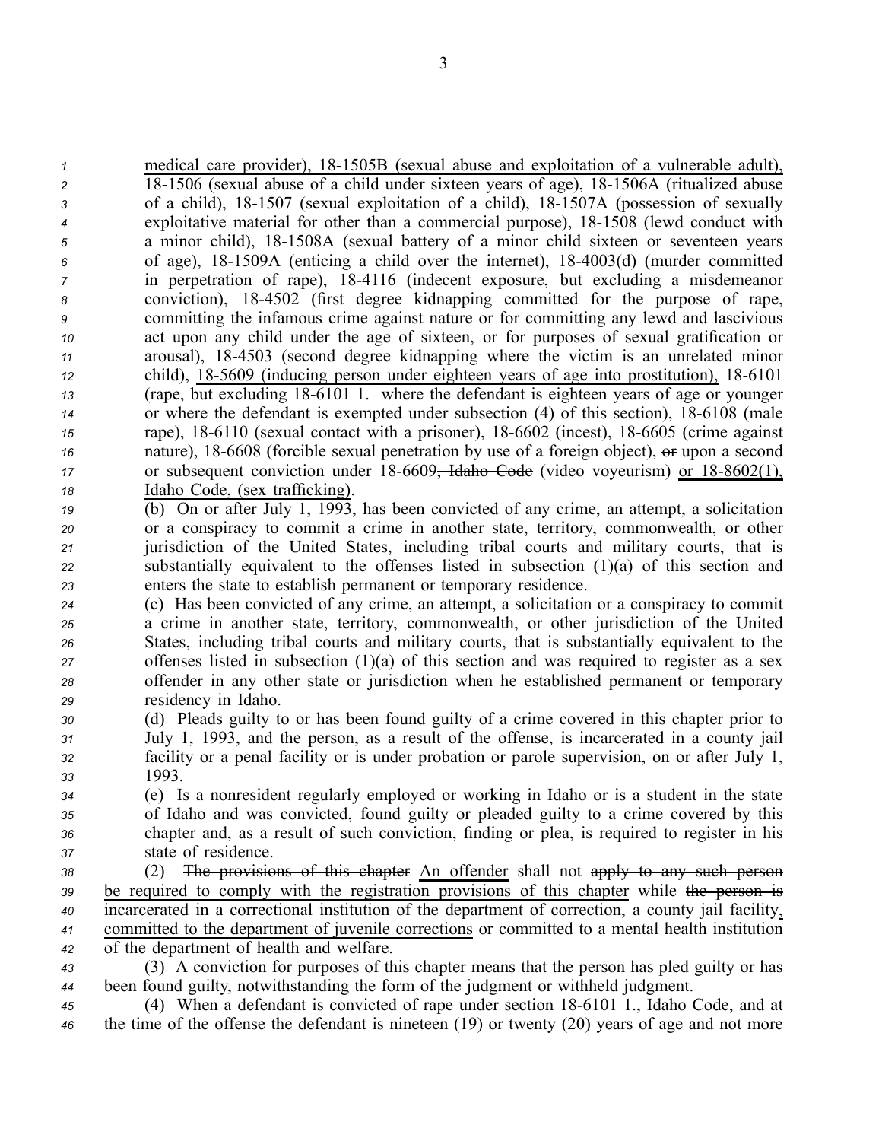| 1  | medical care provider), 18-1505B (sexual abuse and exploitation of a vulnerable adult),             |
|----|-----------------------------------------------------------------------------------------------------|
| 2  | 18-1506 (sexual abuse of a child under sixteen years of age), 18-1506A (ritualized abuse            |
| 3  | of a child), 18-1507 (sexual exploitation of a child), 18-1507A (possession of sexually             |
| 4  | exploitative material for other than a commercial purpose), 18-1508 (lewd conduct with              |
| 5  | a minor child), 18-1508A (sexual battery of a minor child sixteen or seventeen years                |
| 6  | of age), 18-1509A (enticing a child over the internet), 18-4003(d) (murder committed                |
| 7  | in perpetration of rape), 18-4116 (indecent exposure, but excluding a misdemeanor                   |
| 8  | conviction), 18-4502 (first degree kidnapping committed for the purpose of rape,                    |
| 9  | committing the infamous crime against nature or for committing any lewd and lascivious              |
| 10 | act upon any child under the age of sixteen, or for purposes of sexual gratification or             |
| 11 | arousal), 18-4503 (second degree kidnapping where the victim is an unrelated minor                  |
| 12 | child), 18-5609 (inducing person under eighteen years of age into prostitution), 18-6101            |
| 13 | (rape, but excluding 18-6101 1. where the defendant is eighteen years of age or younger             |
| 14 | or where the defendant is exempted under subsection (4) of this section), 18-6108 (male             |
| 15 | rape), 18-6110 (sexual contact with a prisoner), 18-6602 (incest), 18-6605 (crime against           |
| 16 | nature), 18-6608 (forcible sexual penetration by use of a foreign object), or upon a second         |
| 17 | or subsequent conviction under $18-6609$ , Idaho Code (video voyeurism) or $18-8602(1)$ ,           |
| 18 | Idaho Code, (sex trafficking).                                                                      |
| 19 | (b) On or after July 1, 1993, has been convicted of any crime, an attempt, a solicitation           |
| 20 | or a conspiracy to commit a crime in another state, territory, commonwealth, or other               |
| 21 | jurisdiction of the United States, including tribal courts and military courts, that is             |
| 22 | substantially equivalent to the offenses listed in subsection $(1)(a)$ of this section and          |
| 23 | enters the state to establish permanent or temporary residence.                                     |
| 24 | (c) Has been convicted of any crime, an attempt, a solicitation or a conspiracy to commit           |
| 25 | a crime in another state, territory, commonwealth, or other jurisdiction of the United              |
| 26 | States, including tribal courts and military courts, that is substantially equivalent to the        |
| 27 | offenses listed in subsection $(1)(a)$ of this section and was required to register as a sex        |
| 28 | offender in any other state or jurisdiction when he established permanent or temporary              |
| 29 | residency in Idaho.                                                                                 |
| 30 | (d) Pleads guilty to or has been found guilty of a crime covered in this chapter prior to           |
| 31 | July 1, 1993, and the person, as a result of the offense, is incarcerated in a county jail          |
| 32 | facility or a penal facility or is under probation or parole supervision, on or after July 1,       |
| 33 | 1993.                                                                                               |
| 34 | (e) Is a nonresident regularly employed or working in Idaho or is a student in the state            |
| 35 | of Idaho and was convicted, found guilty or pleaded guilty to a crime covered by this               |
| 36 | chapter and, as a result of such conviction, finding or plea, is required to register in his        |
| 37 | state of residence.                                                                                 |
| 38 | The provisions of this chapter An offender shall not apply to any such person<br>(2)                |
| 39 | be required to comply with the registration provisions of this chapter while the person is          |
| 40 | incarcerated in a correctional institution of the department of correction, a county jail facility, |
| 41 | committed to the department of juvenile corrections or committed to a mental health institution     |
| 42 | of the department of health and welfare.                                                            |
| 43 | (3) A conviction for purposes of this chapter means that the person has pled guilty or has          |
| 44 | been found guilty, notwithstanding the form of the judgment or withheld judgment.                   |
| 45 | (4) When a defendant is convicted of rape under section 18-6101 1., Idaho Code, and at              |
| 46 | the time of the offense the defendant is nineteen $(19)$ or twenty $(20)$ years of age and not more |